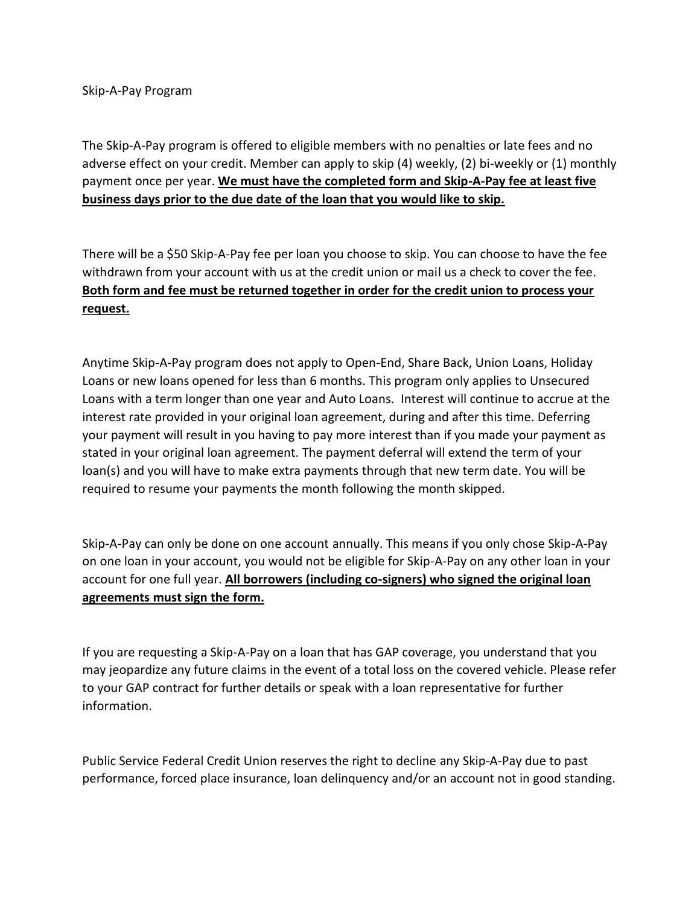Skip-A-Pay Program

The Skip-A-Pay program is offered to eligible members with no penalties or late fees and no adverse effect on your credit. Member can apply to skip (4) weekly, (2) bi-weekly or (1) monthly payment once per year. **We must have the completed form and Skip-A-Pay fee at least five business days prior to the due date of the loan that you would like to skip.**

There will be a \$50 Skip-A-Pay fee per loan you choose to skip. You can choose to have the fee withdrawn from your account with us at the credit union or mail us a check to cover the fee. **Both form and fee must be returned together in order for the credit union to process your request.**

Anytime Skip-A-Pay program does not apply to Open-End, Share Back, Union Loans, Holiday Loans or new loans opened for less than 6 months. This program only applies to Unsecured Loans with a term longer than one year and Auto Loans. Interest will continue to accrue at the interest rate provided in your original loan agreement, during and after this time. Deferring your payment will result in you having to pay more interest than if you made your payment as stated in your original loan agreement. The payment deferral will extend the term of your loan(s) and you will have to make extra payments through that new term date. You will be required to resume your payments the month following the month skipped.

Skip-A-Pay can only be done on one account annually. This means if you only chose Skip-A-Pay on one loan in your account, you would not be eligible for Skip-A-Pay on any other loan in your account for one full year. **All borrowers (including co-signers) who signed the original loan agreements must sign the form.** 

If you are requesting a Skip-A-Pay on a loan that has GAP coverage, you understand that you may jeopardize any future claims in the event of a total loss on the covered vehicle. Please refer to your GAP contract for further details or speak with a loan representative for further information.

Public Service Federal Credit Union reserves the right to decline any Skip-A-Pay due to past performance, forced place insurance, loan delinquency and/or an account not in good standing.